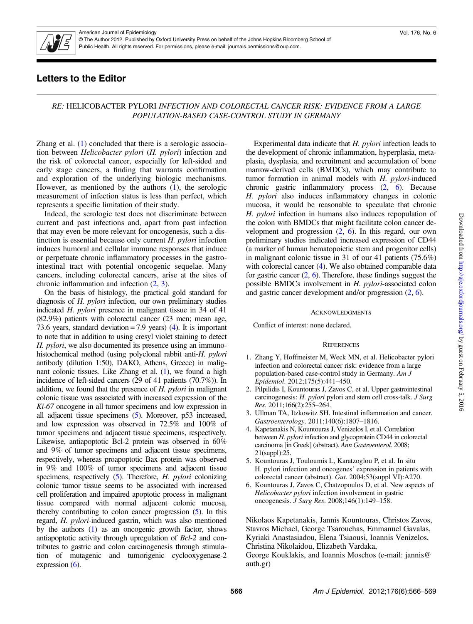

American Journal of Epidemiology © The Author 2012. Published by Oxford University Press on behalf of the Johns Hopkins Bloomberg School of Public Health. All rights reserved. For permissions, please e-mail: journals.permissions@oup.com.

# Letters to the Editor

### RE: HELICOBACTER PYLORI INFECTION AND COLORECTAL CANCER RISK: EVIDENCE FROM A LARGE POPULATION-BASED CASE-CONTROL STUDY IN GERMANY

Zhang et al.  $(1)$  concluded that there is a serologic association between Helicobacter pylori (H. pylori) infection and the risk of colorectal cancer, especially for left-sided and early stage cancers, a finding that warrants confirmation and exploration of the underlying biologic mechanisms. However, as mentioned by the authors (1), the serologic measurement of infection status is less than perfect, which represents a specific limitation of their study.

Indeed, the serologic test does not discriminate between current and past infections and, apart from past infection that may even be more relevant for oncogenesis, such a distinction is essential because only current  $H$ . *pylori* infection induces humoral and cellular immune responses that induce or perpetuate chronic inflammatory processes in the gastrointestinal tract with potential oncogenic sequelae. Many cancers, including colorectal cancers, arise at the sites of chronic inflammation and infection (2, 3).

On the basis of histology, the practical gold standard for diagnosis of H. pylori infection, our own preliminary studies indicated H. pylori presence in malignant tissue in 34 of 41 (82.9%) patients with colorectal cancer (23 men; mean age, 73.6 years, standard deviation = 7.9 years) (4). It is important to note that in addition to using cresyl violet staining to detect H. pylori, we also documented its presence using an immunohistochemical method (using polyclonal rabbit anti-H. pylori antibody (dilution 1:50), DAKO, Athens, Greece) in malignant colonic tissues. Like Zhang et al. (1), we found a high incidence of left-sided cancers (29 of 41 patients (70.7%)). In addition, we found that the presence of H. pylori in malignant colonic tissue was associated with increased expression of the Ki-67 oncogene in all tumor specimens and low expression in all adjacent tissue specimens (5). Moreover, p53 increased, and low expression was observed in 72.5% and 100% of tumor specimens and adjacent tissue specimens, respectively. Likewise, antiapoptotic Bcl-2 protein was observed in 60% and 9% of tumor specimens and adjacent tissue specimens, respectively, whereas proapoptotic Bax protein was observed in 9% and 100% of tumor specimens and adjacent tissue specimens, respectively (5). Therefore, *H. pylori* colonizing colonic tumor tissue seems to be associated with increased cell proliferation and impaired apoptotic process in malignant tissue compared with normal adjacent colonic mucosa, thereby contributing to colon cancer progression (5). In this regard, H. pylori-induced gastrin, which was also mentioned by the authors (1) as an oncogenic growth factor, shows antiapoptotic activity through upregulation of Bcl-2 and contributes to gastric and colon carcinogenesis through stimulation of mutagenic and tumorigenic cyclooxygenase-2 expression  $(6)$ .

Experimental data indicate that H. pylori infection leads to the development of chronic inflammation, hyperplasia, metaplasia, dysplasia, and recruitment and accumulation of bone marrow-derived cells (BMDCs), which may contribute to tumor formation in animal models with H. pylori-induced chronic gastric inflammatory process (2, 6). Because H. pylori also induces inflammatory changes in colonic mucosa, it would be reasonable to speculate that chronic H. pylori infection in humans also induces repopulation of the colon with BMDCs that might facilitate colon cancer development and progression  $(2, 6)$ . In this regard, our own preliminary studies indicated increased expression of CD44 (a marker of human hematopoietic stem and progenitor cells) in malignant colonic tissue in 31 of our 41 patients (75.6%) with colorectal cancer (4). We also obtained comparable data for gastric cancer  $(2, 6)$ . Therefore, these findings suggest the possible BMDCs involvement in H. pylori-associated colon and gastric cancer development and/or progression (2, 6).

#### **ACKNOWLEDGMENTS**

Conflict of interest: none declared.

#### **REFERENCES**

- 1. Zhang Y, Hoffmeister M, Weck MN, et al. Helicobacter pylori infection and colorectal cancer risk: evidence from a large population-based case-control study in Germany. Am J Epidemiol. 2012;175(5):441–450.
- 2. Pilpilidis I, Kountouras J, Zavos C, et al. Upper gastrointestinal carcinogenesis: H. pylori pylori and stem cell cross-talk. J Surg Res. 2011;166(2):255–264.
- 3. Ullman TA, Itzkowitz SH. Intestinal inflammation and cancer. Gastroenterology. 2011;140(6):1807–1816.
- 4. Kapetanakis N, Kountouras J, Venizelos I, et al. Correlation between H. *pylori* infection and glycoprotein CD44 in colorectal carcinoma [in Greek] (abstract). Ann Gastroenterol. 2008; 21(suppl):25.
- 5. Kountouras J, Touloumis L, Karatzoglou P, et al. In situ H. pylori infection and oncogenes' expression in patients with colorectal cancer (abstract). Gut. 2004;53(suppl VI):A270.
- 6. Kountouras J, Zavos C, Chatzopoulos D, et al. New aspects of Helicobacter pylori infection involvement in gastric oncogenesis. J Surg Res. 2008;146(1):149–158.

Nikolaos Kapetanakis, Jannis Kountouras, Christos Zavos, Stavros Michael, George Tsarouchas, Emmanuel Gavalas, Kyriaki Anastasiadou, Elena Tsiaousi, Ioannis Venizelos, Christina Nikolaidou, Elizabeth Vardaka, George Kouklakis, and Ioannis Moschos (e-mail: jannis@ auth.gr)